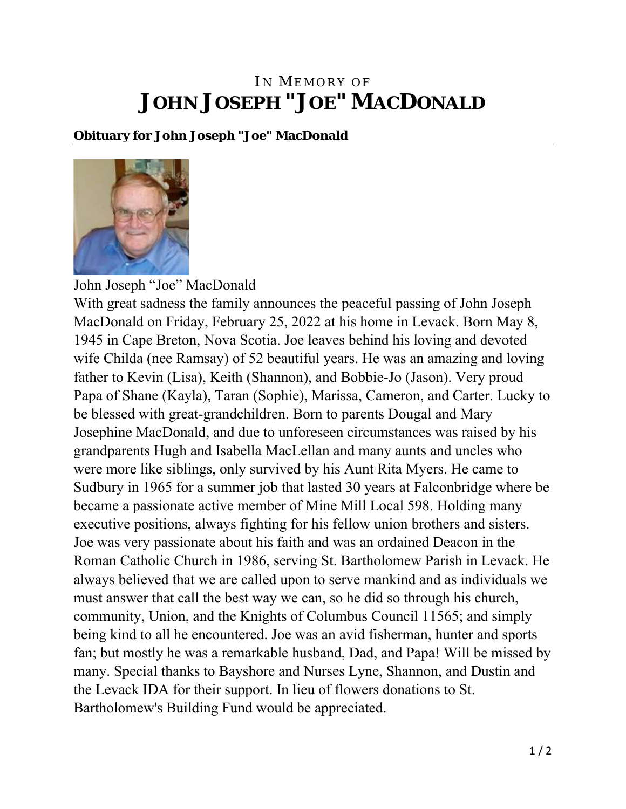## IN MEMORY OF **JOHN JOSEPH "JOE" MACDONALD**

## **Obituary for John Joseph "Joe" MacDonald**



John Joseph "Joe" MacDonald With great sadness the family announces the peaceful passing of John Joseph MacDonald on Friday, February 25, 2022 at his home in Levack. Born May 8, 1945 in Cape Breton, Nova Scotia. Joe leaves behind his loving and devoted wife Childa (nee Ramsay) of 52 beautiful years. He was an amazing and loving father to Kevin (Lisa), Keith (Shannon), and Bobbie-Jo (Jason). Very proud Papa of Shane (Kayla), Taran (Sophie), Marissa, Cameron, and Carter. Lucky to be blessed with great-grandchildren. Born to parents Dougal and Mary Josephine MacDonald, and due to unforeseen circumstances was raised by his grandparents Hugh and Isabella MacLellan and many aunts and uncles who were more like siblings, only survived by his Aunt Rita Myers. He came to Sudbury in 1965 for a summer job that lasted 30 years at Falconbridge where be became a passionate active member of Mine Mill Local 598. Holding many executive positions, always fighting for his fellow union brothers and sisters. Joe was very passionate about his faith and was an ordained Deacon in the Roman Catholic Church in 1986, serving St. Bartholomew Parish in Levack. He always believed that we are called upon to serve mankind and as individuals we must answer that call the best way we can, so he did so through his church, community, Union, and the Knights of Columbus Council 11565; and simply being kind to all he encountered. Joe was an avid fisherman, hunter and sports fan; but mostly he was a remarkable husband, Dad, and Papa! Will be missed by many. Special thanks to Bayshore and Nurses Lyne, Shannon, and Dustin and the Levack IDA for their support. In lieu of flowers donations to St. Bartholomew's Building Fund would be appreciated.